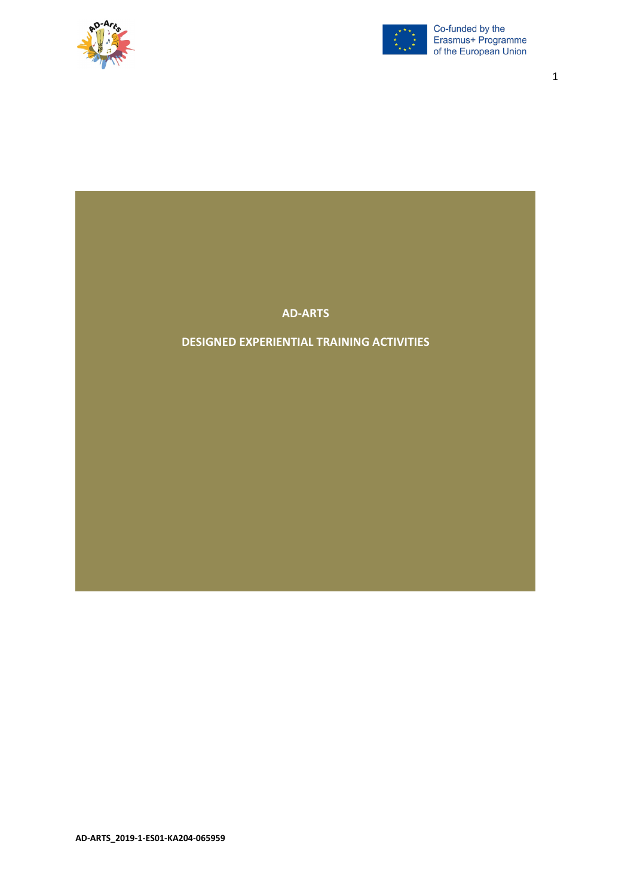



1

#### **AD-ARTS**

#### **DESIGNED EXPERIENTIAL TRAINING ACTIVITIES**

**AD-ARTS\_2019-1-ES01-KA204-065959**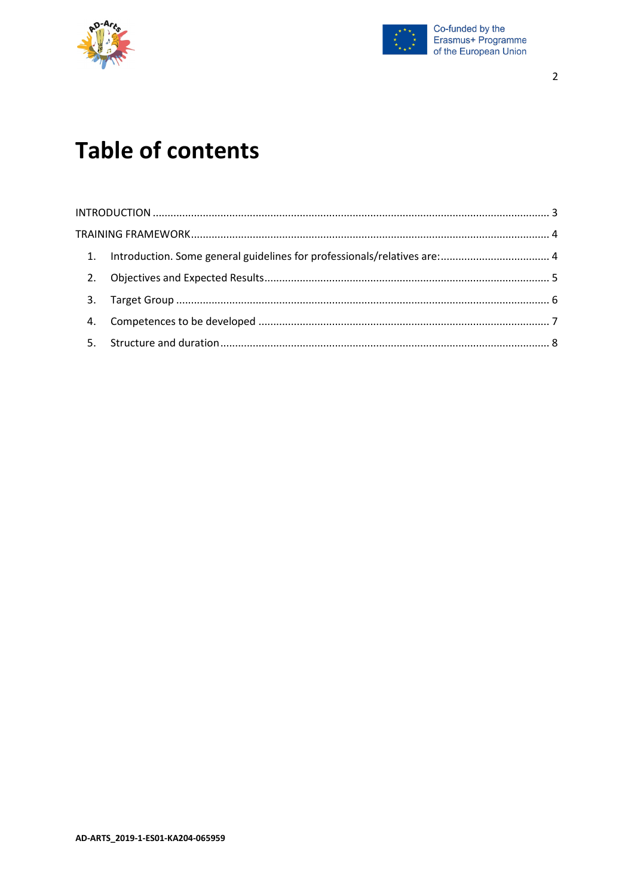



# **Table of contents**

| 3. |  |
|----|--|
|    |  |
|    |  |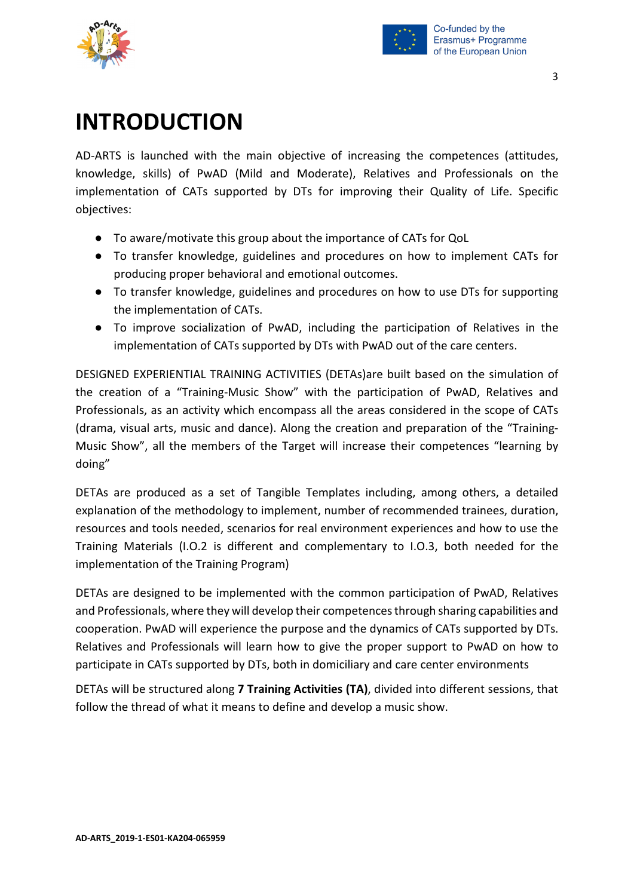



# <span id="page-2-0"></span>**INTRODUCTION**

AD-ARTS is launched with the main objective of increasing the competences (attitudes, knowledge, skills) of PwAD (Mild and Moderate), Relatives and Professionals on the implementation of CATs supported by DTs for improving their Quality of Life. Specific objectives:

- To aware/motivate this group about the importance of CATs for QoL
- To transfer knowledge, guidelines and procedures on how to implement CATs for producing proper behavioral and emotional outcomes.
- To transfer knowledge, guidelines and procedures on how to use DTs for supporting the implementation of CATs.
- To improve socialization of PwAD, including the participation of Relatives in the implementation of CATs supported by DTs with PwAD out of the care centers.

DESIGNED EXPERIENTIAL TRAINING ACTIVITIES (DETAs)are built based on the simulation of the creation of a "Training-Music Show" with the participation of PwAD, Relatives and Professionals, as an activity which encompass all the areas considered in the scope of CATs (drama, visual arts, music and dance). Along the creation and preparation of the "Training-Music Show", all the members of the Target will increase their competences "learning by doing"

DETAs are produced as a set of Tangible Templates including, among others, a detailed explanation of the methodology to implement, number of recommended trainees, duration, resources and tools needed, scenarios for real environment experiences and how to use the Training Materials (I.O.2 is different and complementary to I.O.3, both needed for the implementation of the Training Program)

DETAs are designed to be implemented with the common participation of PwAD, Relatives and Professionals, where they will develop their competences through sharing capabilities and cooperation. PwAD will experience the purpose and the dynamics of CATs supported by DTs. Relatives and Professionals will learn how to give the proper support to PwAD on how to participate in CATs supported by DTs, both in domiciliary and care center environments

DETAs will be structured along **7 Training Activities (TA)**, divided into different sessions, that follow the thread of what it means to define and develop a music show.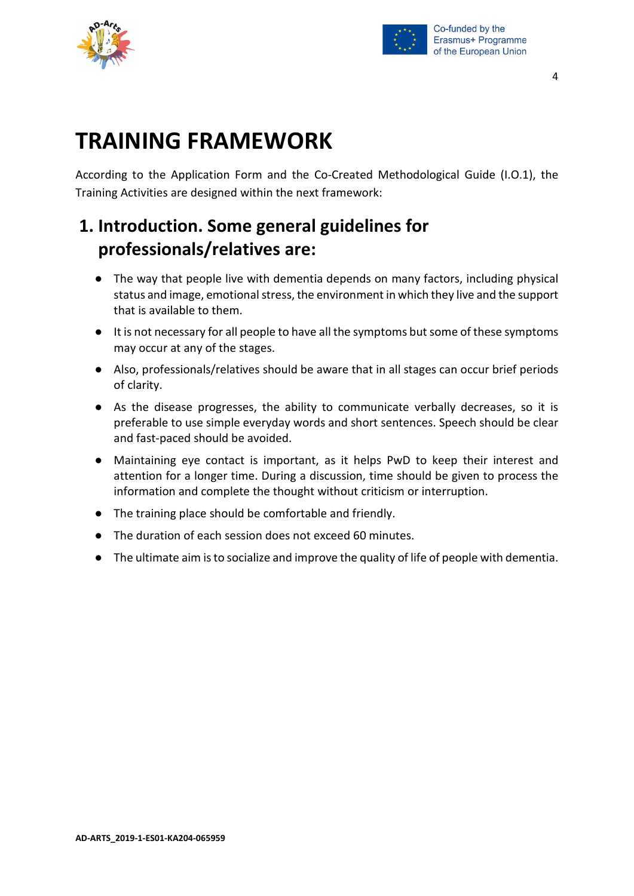



# <span id="page-3-0"></span>**TRAINING FRAMEWORK**

According to the Application Form and the Co-Created Methodological Guide (I.O.1), the Training Activities are designed within the next framework:

## <span id="page-3-1"></span>**1. Introduction. Some general guidelines for professionals/relatives are:**

- The way that people live with dementia depends on many factors, including physical status and image, emotional stress, the environment in which they live and the support that is available to them.
- It is not necessary for all people to have all the symptoms but some of these symptoms may occur at any of the stages.
- Also, professionals/relatives should be aware that in all stages can occur brief periods of clarity.
- As the disease progresses, the ability to communicate verbally decreases, so it is preferable to use simple everyday words and short sentences. Speech should be clear and fast-paced should be avoided.
- Maintaining eye contact is important, as it helps PwD to keep their interest and attention for a longer time. During a discussion, time should be given to process the information and complete the thought without criticism or interruption.
- The training place should be comfortable and friendly.
- The duration of each session does not exceed 60 minutes.
- The ultimate aim is to socialize and improve the quality of life of people with dementia.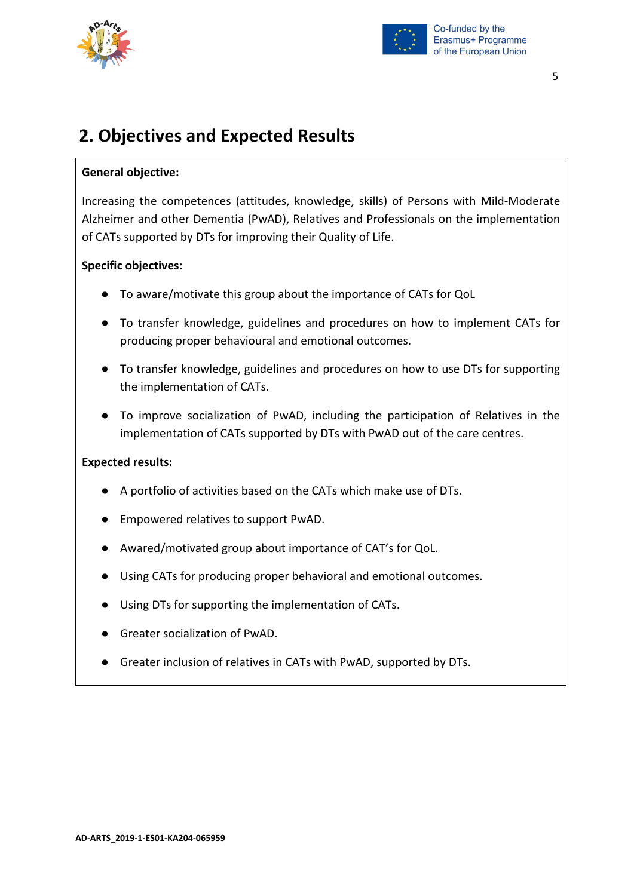



#### 5

### <span id="page-4-0"></span>**2. Objectives and Expected Results**

#### **General objective:**

Increasing the competences (attitudes, knowledge, skills) of Persons with Mild-Moderate Alzheimer and other Dementia (PwAD), Relatives and Professionals on the implementation of CATs supported by DTs for improving their Quality of Life.

#### **Specific objectives:**

- To aware/motivate this group about the importance of CATs for QoL
- To transfer knowledge, guidelines and procedures on how to implement CATs for producing proper behavioural and emotional outcomes.
- To transfer knowledge, guidelines and procedures on how to use DTs for supporting the implementation of CATs.
- To improve socialization of PwAD, including the participation of Relatives in the implementation of CATs supported by DTs with PwAD out of the care centres.

#### **Expected results:**

- A portfolio of activities based on the CATs which make use of DTs.
- Empowered relatives to support PwAD.
- Awared/motivated group about importance of CAT's for QoL.
- Using CATs for producing proper behavioral and emotional outcomes.
- Using DTs for supporting the implementation of CATs.
- Greater socialization of PwAD.
- Greater inclusion of relatives in CATs with PwAD, supported by DTs.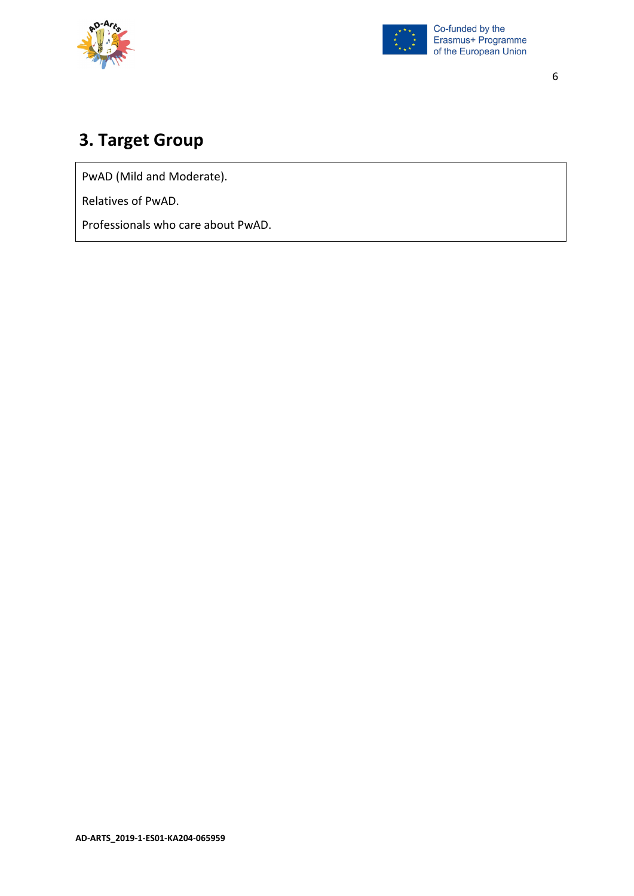



#### 6

## <span id="page-5-0"></span>**3. Target Group**

PwAD (Mild and Moderate).

Relatives of PwAD.

Professionals who care about PwAD.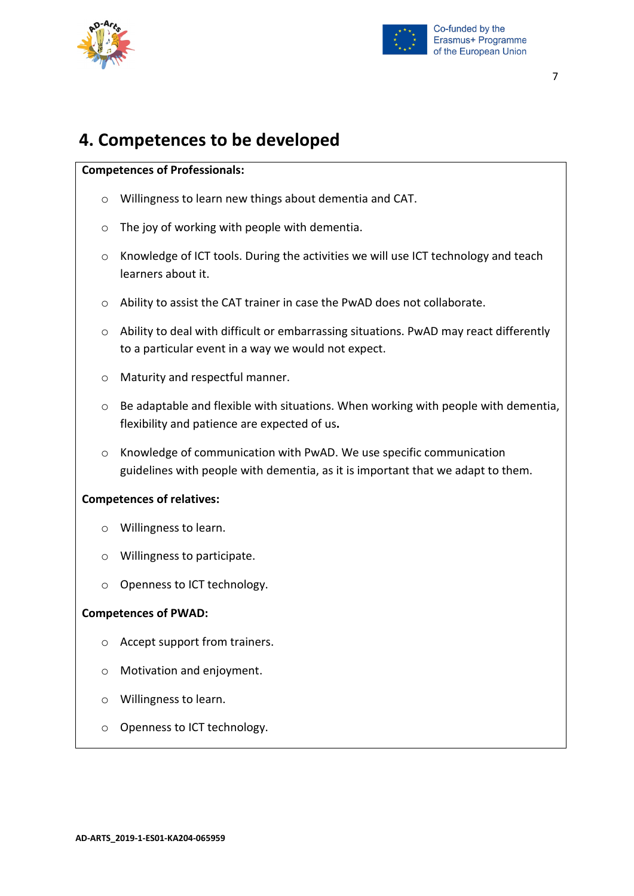



### <span id="page-6-0"></span>**4. Competences to be developed**

#### **Competences of Professionals:**

- o Willingness to learn new things about dementia and CAT.
- o The joy of working with people with dementia.
- o Knowledge of ICT tools. During the activities we will use ICT technology and teach learners about it.
- o Ability to assist the CAT trainer in case the PwAD does not collaborate.
- o Ability to deal with difficult or embarrassing situations. PwAD may react differently to a particular event in a way we would not expect.
- o Maturity and respectful manner.
- o Be adaptable and flexible with situations. When working with people with dementia, flexibility and patience are expected of us**.**
- o Knowledge of communication with PwAD. We use specific communication guidelines with people with dementia, as it is important that we adapt to them.

#### **Competences of relatives:**

- o Willingness to learn.
- o Willingness to participate.
- o Openness to ICT technology.

#### **Competences of PWAD:**

- o Accept support from trainers.
- o Motivation and enjoyment.
- o Willingness to learn.
- o Openness to ICT technology.